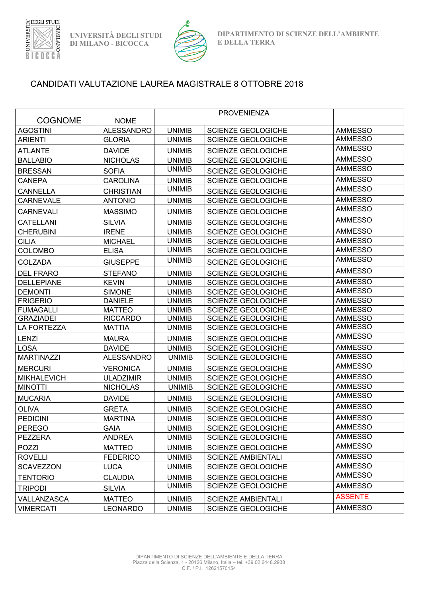

**UNIVERSITÀ DEGLI STUDI DI MILANO - BICOCCA**



## CANDIDATI VALUTAZIONE LAUREA MAGISTRALE 8 OTTOBRE 2018

| <b>COGNOME</b>     | <b>NOME</b>       |               |                           |                |
|--------------------|-------------------|---------------|---------------------------|----------------|
| <b>AGOSTINI</b>    | <b>ALESSANDRO</b> | <b>UNIMIB</b> | <b>SCIENZE GEOLOGICHE</b> | <b>AMMESSO</b> |
| <b>ARIENTI</b>     | <b>GLORIA</b>     | <b>UNIMIB</b> | <b>SCIENZE GEOLOGICHE</b> | <b>AMMESSO</b> |
| <b>ATLANTE</b>     | <b>DAVIDE</b>     | <b>UNIMIB</b> | SCIENZE GEOLOGICHE        | <b>AMMESSO</b> |
| <b>BALLABIO</b>    | <b>NICHOLAS</b>   | <b>UNIMIB</b> | <b>SCIENZE GEOLOGICHE</b> | <b>AMMESSO</b> |
| <b>BRESSAN</b>     | <b>SOFIA</b>      | <b>UNIMIB</b> | SCIENZE GEOLOGICHE        | <b>AMMESSO</b> |
| <b>CANEPA</b>      | <b>CAROLINA</b>   | <b>UNIMIB</b> | <b>SCIENZE GEOLOGICHE</b> | <b>AMMESSO</b> |
| <b>CANNELLA</b>    | <b>CHRISTIAN</b>  | <b>UNIMIB</b> | <b>SCIENZE GEOLOGICHE</b> | <b>AMMESSO</b> |
| <b>CARNEVALE</b>   | <b>ANTONIO</b>    | <b>UNIMIB</b> | <b>SCIENZE GEOLOGICHE</b> | <b>AMMESSO</b> |
| <b>CARNEVALI</b>   | <b>MASSIMO</b>    | <b>UNIMIB</b> | <b>SCIENZE GEOLOGICHE</b> | <b>AMMESSO</b> |
| <b>CATELLANI</b>   | <b>SILVIA</b>     | <b>UNIMIB</b> | SCIENZE GEOLOGICHE        | <b>AMMESSO</b> |
| <b>CHERUBINI</b>   | <b>IRENE</b>      | <b>UNIMIB</b> | SCIENZE GEOLOGICHE        | <b>AMMESSO</b> |
| <b>CILIA</b>       | <b>MICHAEL</b>    | <b>UNIMIB</b> | <b>SCIENZE GEOLOGICHE</b> | <b>AMMESSO</b> |
| <b>COLOMBO</b>     | <b>ELISA</b>      | <b>UNIMIB</b> | <b>SCIENZE GEOLOGICHE</b> | <b>AMMESSO</b> |
| <b>COLZADA</b>     | <b>GIUSEPPE</b>   | <b>UNIMIB</b> | <b>SCIENZE GEOLOGICHE</b> | <b>AMMESSO</b> |
| <b>DEL FRARO</b>   | <b>STEFANO</b>    | <b>UNIMIB</b> | <b>SCIENZE GEOLOGICHE</b> | <b>AMMESSO</b> |
| <b>DELLEPIANE</b>  | <b>KEVIN</b>      | <b>UNIMIB</b> | SCIENZE GEOLOGICHE        | <b>AMMESSO</b> |
| <b>DEMONTI</b>     | <b>SIMONE</b>     | <b>UNIMIB</b> | <b>SCIENZE GEOLOGICHE</b> | <b>AMMESSO</b> |
| <b>FRIGERIO</b>    | <b>DANIELE</b>    | <b>UNIMIB</b> | SCIENZE GEOLOGICHE        | <b>AMMESSO</b> |
| <b>FUMAGALLI</b>   | <b>MATTEO</b>     | <b>UNIMIB</b> | SCIENZE GEOLOGICHE        | <b>AMMESSO</b> |
| <b>GRAZIADEI</b>   | <b>RICCARDO</b>   | <b>UNIMIB</b> | SCIENZE GEOLOGICHE        | <b>AMMESSO</b> |
| LA FORTEZZA        | <b>MATTIA</b>     | <b>UNIMIB</b> | SCIENZE GEOLOGICHE        | <b>AMMESSO</b> |
| LENZI              | <b>MAURA</b>      | <b>UNIMIB</b> | <b>SCIENZE GEOLOGICHE</b> | <b>AMMESSO</b> |
| <b>LOSA</b>        | <b>DAVIDE</b>     | <b>UNIMIB</b> | SCIENZE GEOLOGICHE        | <b>AMMESSO</b> |
| <b>MARTINAZZI</b>  | <b>ALESSANDRO</b> | <b>UNIMIB</b> | SCIENZE GEOLOGICHE        | <b>AMMESSO</b> |
| <b>MERCURI</b>     | <b>VERONICA</b>   | <b>UNIMIB</b> | <b>SCIENZE GEOLOGICHE</b> | <b>AMMESSO</b> |
| <b>MIKHALEVICH</b> | <b>ULADZIMIR</b>  | <b>UNIMIB</b> | SCIENZE GEOLOGICHE        | <b>AMMESSO</b> |
| <b>MINOTTI</b>     | <b>NICHOLAS</b>   | <b>UNIMIB</b> | <b>SCIENZE GEOLOGICHE</b> | <b>AMMESSO</b> |
| <b>MUCARIA</b>     | <b>DAVIDE</b>     | <b>UNIMIB</b> | SCIENZE GEOLOGICHE        | <b>AMMESSO</b> |
| <b>OLIVA</b>       | <b>GRETA</b>      | <b>UNIMIB</b> | <b>SCIENZE GEOLOGICHE</b> | <b>AMMESSO</b> |
| <b>PEDICINI</b>    | <b>MARTINA</b>    | <b>UNIMIB</b> | SCIENZE GEOLOGICHE        | <b>AMMESSO</b> |
| <b>PEREGO</b>      | <b>GAIA</b>       | <b>UNIMIB</b> | SCIENZE GEOLOGICHE        | AMMESSO        |
| PEZZERA            | <b>ANDREA</b>     | <b>UNIMIB</b> | SCIENZE GEOLOGICHE        | <b>AMMESSO</b> |
| POZZI              | <b>MATTEO</b>     | <b>UNIMIB</b> | SCIENZE GEOLOGICHE        | <b>AMMESSO</b> |
| <b>ROVELLI</b>     | <b>FEDERICO</b>   | <b>UNIMIB</b> | <b>SCIENZE AMBIENTALI</b> | <b>AMMESSO</b> |
| SCAVEZZON          | <b>LUCA</b>       | <b>UNIMIB</b> | <b>SCIENZE GEOLOGICHE</b> | <b>AMMESSO</b> |
| <b>TENTORIO</b>    | <b>CLAUDIA</b>    | <b>UNIMIB</b> | SCIENZE GEOLOGICHE        | <b>AMMESSO</b> |
| <b>TRIPODI</b>     | <b>SILVIA</b>     | <b>UNIMIB</b> | SCIENZE GEOLOGICHE        | <b>AMMESSO</b> |
| VALLANZASCA        | <b>MATTEO</b>     | <b>UNIMIB</b> | <b>SCIENZE AMBIENTALI</b> | <b>ASSENTE</b> |
| <b>VIMERCATI</b>   | <b>LEONARDO</b>   | <b>UNIMIB</b> | <b>SCIENZE GEOLOGICHE</b> | <b>AMMESSO</b> |